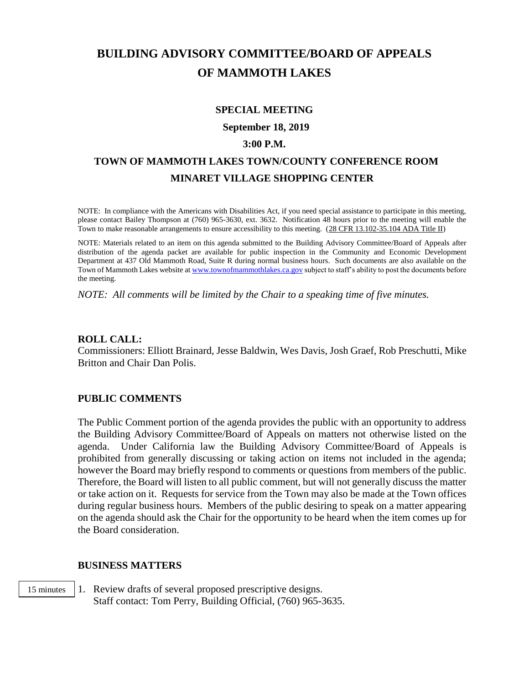# **BUILDING ADVISORY COMMITTEE/BOARD OF APPEALS OF MAMMOTH LAKES**

### **SPECIAL MEETING**

**September 18, 2019**

#### **3:00 P.M.**

## **TOWN OF MAMMOTH LAKES TOWN/COUNTY CONFERENCE ROOM MINARET VILLAGE SHOPPING CENTER**

NOTE: In compliance with the Americans with Disabilities Act, if you need special assistance to participate in this meeting, please contact Bailey Thompson at (760) 965-3630, ext. 3632. Notification 48 hours prior to the meeting will enable the Town to make reasonable arrangements to ensure accessibility to this meeting. (28 CFR 13.102-35.104 ADA Title II)

NOTE: Materials related to an item on this agenda submitted to the Building Advisory Committee/Board of Appeals after distribution of the agenda packet are available for public inspection in the Community and Economic Development Department at 437 Old Mammoth Road, Suite R during normal business hours. Such documents are also available on the Town of Mammoth Lakes website a[t www.townofmammothlakes.ca.gov](http://www.townofmammothlakes.ca.gov/) subject to staff's ability to post the documents before the meeting.

*NOTE: All comments will be limited by the Chair to a speaking time of five minutes.*

#### **ROLL CALL:**

Commissioners: Elliott Brainard, Jesse Baldwin, Wes Davis, Josh Graef, Rob Preschutti, Mike Britton and Chair Dan Polis.

## **PUBLIC COMMENTS**

The Public Comment portion of the agenda provides the public with an opportunity to address the Building Advisory Committee/Board of Appeals on matters not otherwise listed on the agenda. Under California law the Building Advisory Committee/Board of Appeals is prohibited from generally discussing or taking action on items not included in the agenda; however the Board may briefly respond to comments or questions from members of the public. Therefore, the Board will listen to all public comment, but will not generally discuss the matter or take action on it. Requests for service from the Town may also be made at the Town offices during regular business hours. Members of the public desiring to speak on a matter appearing on the agenda should ask the Chair for the opportunity to be heard when the item comes up for the Board consideration.

#### **BUSINESS MATTERS**

1. Review drafts of several proposed prescriptive designs. Staff contact: Tom Perry, Building Official, (760) 965-3635. 15 minutes